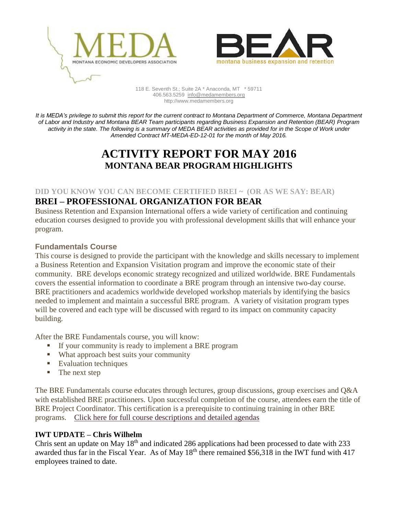



118 E. Seventh St.; Suite 2A \* Anaconda, MT \* 59711 406.563.5259 [info@medamembers.org](mailto:info@medamembers.org) http://www.medamembers.org

*It is MEDA's privilege to submit this report for the current contract to Montana Department of Commerce, Montana Department of Labor and Industry and Montana BEAR Team participants regarding Business Expansion and Retention (BEAR) Program activity in the state. The following is a summary of MEDA BEAR activities as provided for in the Scope of Work under Amended Contract MT-MEDA-ED-12-01 for the month of May 2016.*

# **ACTIVITY REPORT FOR MAY 2016 MONTANA BEAR PROGRAM HIGHLIGHTS**

#### **DID YOU KNOW YOU CAN BECOME CERTIFIED BREI ~ (OR AS WE SAY: BEAR)**

## **BREI – PROFESSIONAL ORGANIZATION FOR BEAR**

Business Retention and Expansion International offers a wide variety of certification and continuing education courses designed to provide you with professional development skills that will enhance your program.

#### **Fundamentals Course**

This course is designed to provide the participant with the knowledge and skills necessary to implement a Business Retention and Expansion Visitation program and improve the economic state of their community. BRE develops economic strategy recognized and utilized worldwide. BRE Fundamentals covers the essential information to coordinate a BRE program through an intensive two-day course. BRE practitioners and academics worldwide developed workshop materials by identifying the basics needed to implement and maintain a successful BRE program. A variety of visitation program types will be covered and each type will be discussed with regard to its impact on community capacity building.

After the BRE Fundamentals course, you will know:

- If your community is ready to implement a BRE program
- What approach best suits your community
- **Evaluation techniques**
- The next step

The BRE Fundamentals course educates through lectures, group discussions, group exercises and Q&A with established BRE practitioners. Upon successful completion of the course, attendees earn the title of BRE Project Coordinator. This certification is a prerequisite to continuing training in other BRE programs.Click here for full course [descriptions](http://www.brei.org/content/brei-continuing-education-course-description) and detailed agendas

#### **IWT UPDATE – Chris Wilhelm**

Chris sent an update on May  $18<sup>th</sup>$  and indicated 286 applications had been processed to date with 233 awarded thus far in the Fiscal Year. As of May  $18<sup>th</sup>$  there remained \$56,318 in the IWT fund with 417 employees trained to date.